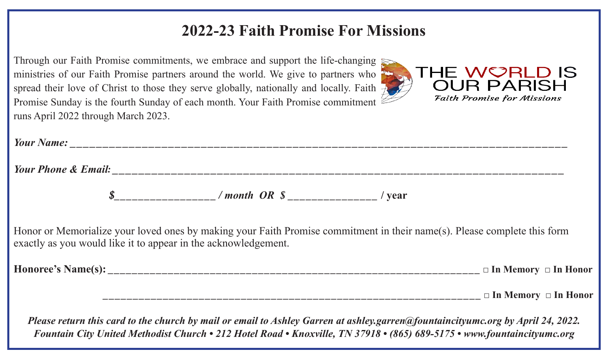# **2022-23 Faith Promise For Missions**

| Through our Faith Promise commitments, we embrace and support the life-changing                       |  |
|-------------------------------------------------------------------------------------------------------|--|
| ministries of our Faith Promise partners around the world. We give to partners who                    |  |
| spread their love of Christ to those they serve globally, nationally and locally. Faith $\mathcal{A}$ |  |
| Promise Sunday is the fourth Sunday of each month. Your Faith Promise commitment $\mathbb{Z}$         |  |
| runs April 2022 through March 2023.                                                                   |  |



|                                                                | $\frac{\$$ <sub>_________________</sub> /month OR $\frac{\$}{}$ <sub>____________________/</sub> year |                                                                                                                          |
|----------------------------------------------------------------|-------------------------------------------------------------------------------------------------------|--------------------------------------------------------------------------------------------------------------------------|
| exactly as you would like it to appear in the acknowledgement. |                                                                                                       | Honor or Memorialize your loved ones by making your Faith Promise commitment in their name(s). Please complete this form |
|                                                                |                                                                                                       |                                                                                                                          |
|                                                                |                                                                                                       |                                                                                                                          |